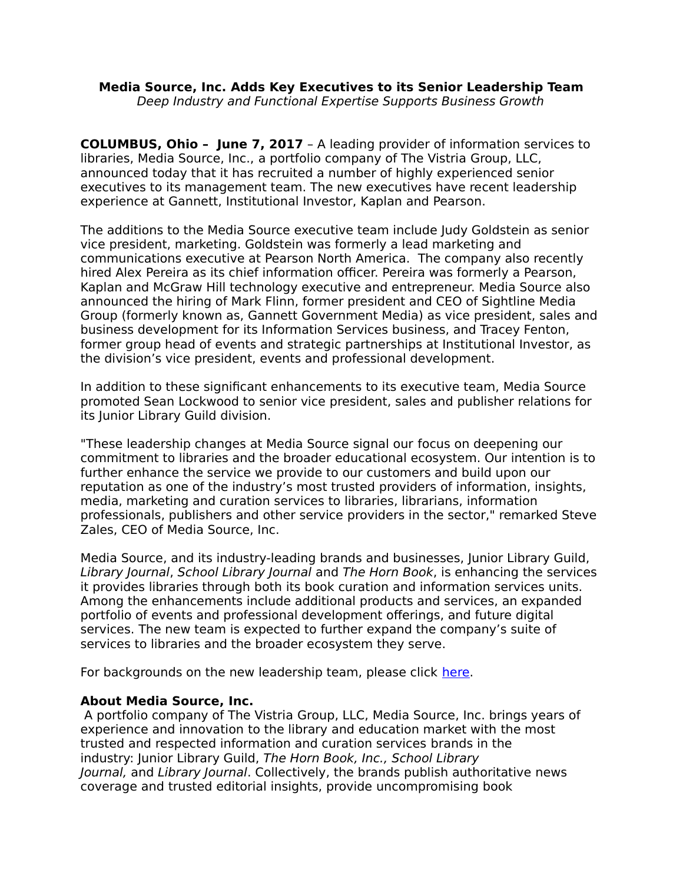## **Media Source, Inc. Adds Key Executives to its Senior Leadership Team** Deep Industry and Functional Expertise Supports Business Growth

**COLUMBUS, Ohio – June 7, 2017** – A leading provider of information services to libraries, Media Source, Inc., a portfolio company of The Vistria Group, LLC, announced today that it has recruited a number of highly experienced senior executives to its management team. The new executives have recent leadership experience at Gannett, Institutional Investor, Kaplan and Pearson.

The additions to the Media Source executive team include Judy Goldstein as senior vice president, marketing. Goldstein was formerly a lead marketing and communications executive at Pearson North America. The company also recently hired Alex Pereira as its chief information officer. Pereira was formerly a Pearson, Kaplan and McGraw Hill technology executive and entrepreneur. Media Source also announced the hiring of Mark Flinn, former president and CEO of Sightline Media Group (formerly known as, Gannett Government Media) as vice president, sales and business development for its Information Services business, and Tracey Fenton, former group head of events and strategic partnerships at Institutional Investor, as the division's vice president, events and professional development.

In addition to these significant enhancements to its executive team, Media Source promoted Sean Lockwood to senior vice president, sales and publisher relations for its Junior Library Guild division.

"These leadership changes at Media Source signal our focus on deepening our commitment to libraries and the broader educational ecosystem. Our intention is to further enhance the service we provide to our customers and build upon our reputation as one of the industry's most trusted providers of information, insights, media, marketing and curation services to libraries, librarians, information professionals, publishers and other service providers in the sector," remarked Steve Zales, CEO of Media Source, Inc.

Media Source, and its industry-leading brands and businesses, Junior Library Guild, Library Journal, School Library Journal and The Horn Book, is enhancing the services it provides libraries through both its book curation and information services units. Among the enhancements include additional products and services, an expanded portfolio of events and professional development offerings, and future digital services. The new team is expected to further expand the company's suite of services to libraries and the broader ecosystem they serve.

For backgrounds on the new leadership team, please click [here.](http://www.mediasourceinc.com/)

## **About Media Source, Inc.**

 A portfolio company of The Vistria Group, LLC, Media Source, Inc. brings years of experience and innovation to the library and education market with the most trusted and respected information and curation services brands in the industry: Junior Library Guild, The Horn Book, Inc., School Library Journal, and Library Journal. Collectively, the brands publish authoritative news coverage and trusted editorial insights, provide uncompromising book